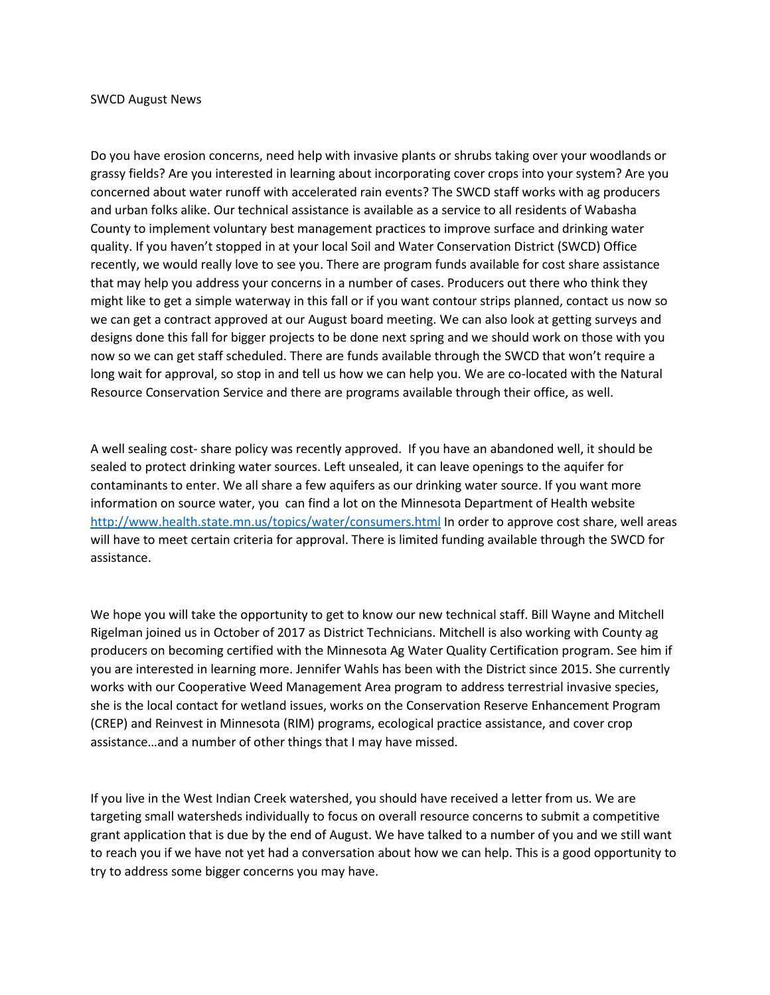## SWCD August News

Do you have erosion concerns, need help with invasive plants or shrubs taking over your woodlands or grassy fields? Are you interested in learning about incorporating cover crops into your system? Are you concerned about water runoff with accelerated rain events? The SWCD staff works with ag producers and urban folks alike. Our technical assistance is available as a service to all residents of Wabasha County to implement voluntary best management practices to improve surface and drinking water quality. If you haven't stopped in at your local Soil and Water Conservation District (SWCD) Office recently, we would really love to see you. There are program funds available for cost share assistance that may help you address your concerns in a number of cases. Producers out there who think they might like to get a simple waterway in this fall or if you want contour strips planned, contact us now so we can get a contract approved at our August board meeting. We can also look at getting surveys and designs done this fall for bigger projects to be done next spring and we should work on those with you now so we can get staff scheduled. There are funds available through the SWCD that won't require a long wait for approval, so stop in and tell us how we can help you. We are co-located with the Natural Resource Conservation Service and there are programs available through their office, as well.

A well sealing cost- share policy was recently approved. If you have an abandoned well, it should be sealed to protect drinking water sources. Left unsealed, it can leave openings to the aquifer for contaminants to enter. We all share a few aquifers as our drinking water source. If you want more information on source water, you can find a lot on the Minnesota Department of Health website <http://www.health.state.mn.us/topics/water/consumers.html> In order to approve cost share, well areas will have to meet certain criteria for approval. There is limited funding available through the SWCD for assistance.

We hope you will take the opportunity to get to know our new technical staff. Bill Wayne and Mitchell Rigelman joined us in October of 2017 as District Technicians. Mitchell is also working with County ag producers on becoming certified with the Minnesota Ag Water Quality Certification program. See him if you are interested in learning more. Jennifer Wahls has been with the District since 2015. She currently works with our Cooperative Weed Management Area program to address terrestrial invasive species, she is the local contact for wetland issues, works on the Conservation Reserve Enhancement Program (CREP) and Reinvest in Minnesota (RIM) programs, ecological practice assistance, and cover crop assistance…and a number of other things that I may have missed.

If you live in the West Indian Creek watershed, you should have received a letter from us. We are targeting small watersheds individually to focus on overall resource concerns to submit a competitive grant application that is due by the end of August. We have talked to a number of you and we still want to reach you if we have not yet had a conversation about how we can help. This is a good opportunity to try to address some bigger concerns you may have.